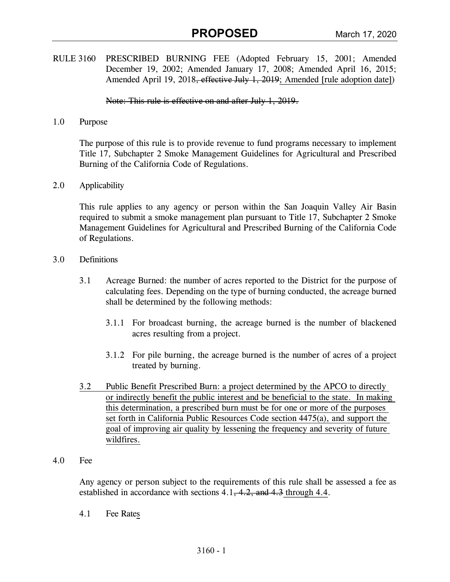RULE 3160 PRESCRIBED BURNING FEE (Adopted February 15, 2001; Amended December 19, 2002; Amended January 17, 2008; Amended April 16, 2015; Amended April 19, 2018<del>, effective July 1, 2019</del>; Amended [rule adoption date])

Note: This rule is effective on and after July 1, 2019.

1.0 Purpose

 The purpose of this rule is to provide revenue to fund programs necessary to implement Title 17, Subchapter 2 Smoke Management Guidelines for Agricultural and Prescribed Burning of the California Code of Regulations.

2.0 Applicability

 This rule applies to any agency or person within the San Joaquin Valley Air Basin required to submit a smoke management plan pursuant to Title 17, Subchapter 2 Smoke Management Guidelines for Agricultural and Prescribed Burning of the California Code of Regulations.

- 3.0 Definitions
	- 3.1 Acreage Burned: the number of acres reported to the District for the purpose of calculating fees. Depending on the type of burning conducted, the acreage burned shall be determined by the following methods:
		- 3.1.1 For broadcast burning, the acreage burned is the number of blackened acres resulting from a project.
		- 3.1.2 For pile burning, the acreage burned is the number of acres of a project treated by burning.
	- 3.2 Public Benefit Prescribed Burn: a project determined by the APCO to directly or indirectly benefit the public interest and be beneficial to the state. In making this determination, a prescribed burn must be for one or more of the purposes set forth in California Public Resources Code section 4475(a), and support the goal of improving air quality by lessening the frequency and severity of future wildfires.
- 4.0 Fee

Any agency or person subject to the requirements of this rule shall be assessed a fee as established in accordance with sections  $4.1, 4.2,$  and  $4.3$  through  $4.4$ .

4.1 Fee Rates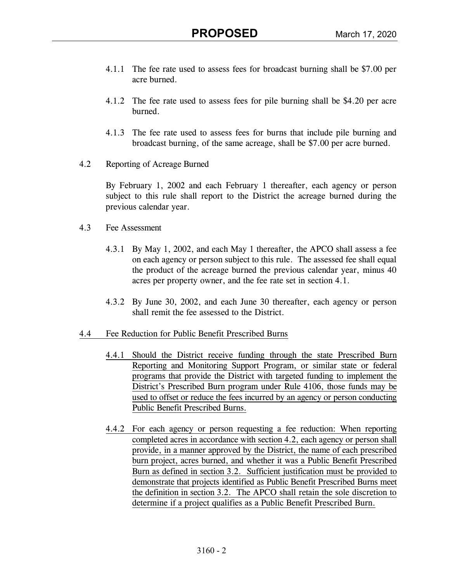- 4.1.1 The fee rate used to assess fees for broadcast burning shall be \$7.00 per acre burned.
- 4.1.2 The fee rate used to assess fees for pile burning shall be \$4.20 per acre burned.
- 4.1.3 The fee rate used to assess fees for burns that include pile burning and broadcast burning, of the same acreage, shall be \$7.00 per acre burned.
- 4.2 Reporting of Acreage Burned

 By February 1, 2002 and each February 1 thereafter, each agency or person subject to this rule shall report to the District the acreage burned during the previous calendar year.

- 4.3 Fee Assessment
	- 4.3.1 By May 1, 2002, and each May 1 thereafter, the APCO shall assess a fee on each agency or person subject to this rule. The assessed fee shall equal the product of the acreage burned the previous calendar year, minus 40 acres per property owner, and the fee rate set in section 4.1.
	- 4.3.2 By June 30, 2002, and each June 30 thereafter, each agency or person shall remit the fee assessed to the District.
- 4.4 Fee Reduction for Public Benefit Prescribed Burns
	- 4.4.1 Should the District receive funding through the state Prescribed Burn Reporting and Monitoring Support Program, or similar state or federal programs that provide the District with targeted funding to implement the District's Prescribed Burn program under Rule 4106, those funds may be used to offset or reduce the fees incurred by an agency or person conducting Public Benefit Prescribed Burns.
	- 4.4.2 For each agency or person requesting a fee reduction: When reporting completed acres in accordance with section 4.2, each agency or person shall provide, in a manner approved by the District, the name of each prescribed burn project, acres burned, and whether it was a Public Benefit Prescribed Burn as defined in section 3.2. Sufficient justification must be provided to demonstrate that projects identified as Public Benefit Prescribed Burns meet the definition in section 3.2. The APCO shall retain the sole discretion to determine if a project qualifies as a Public Benefit Prescribed Burn.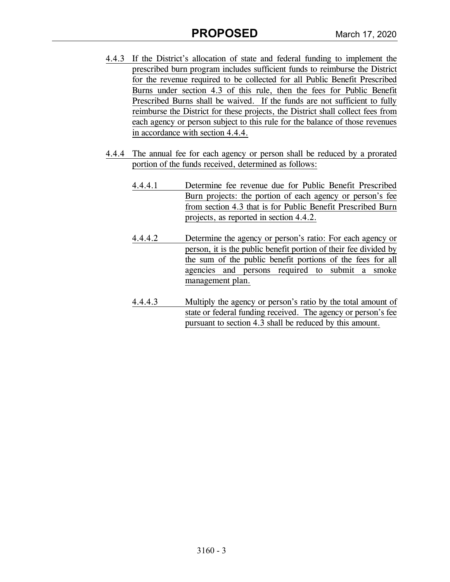- 4.4.3 If the District's allocation of state and federal funding to implement the prescribed burn program includes sufficient funds to reimburse the District for the revenue required to be collected for all Public Benefit Prescribed Burns under section 4.3 of this rule, then the fees for Public Benefit Prescribed Burns shall be waived. If the funds are not sufficient to fully reimburse the District for these projects, the District shall collect fees from each agency or person subject to this rule for the balance of those revenues in accordance with section 4.4.4.
- 4.4.4 The annual fee for each agency or person shall be reduced by a prorated portion of the funds received, determined as follows:
	- 4.4.4.1 Determine fee revenue due for Public Benefit Prescribed Burn projects: the portion of each agency or person's fee from section 4.3 that is for Public Benefit Prescribed Burn projects, as reported in section 4.4.2.
	- 4.4.4.2 Determine the agency or person's ratio: For each agency or person, it is the public benefit portion of their fee divided by the sum of the public benefit portions of the fees for all agencies and persons required to submit a smoke management plan.
	- 4.4.4.3 Multiply the agency or person's ratio by the total amount of state or federal funding received. The agency or person's fee pursuant to section 4.3 shall be reduced by this amount.